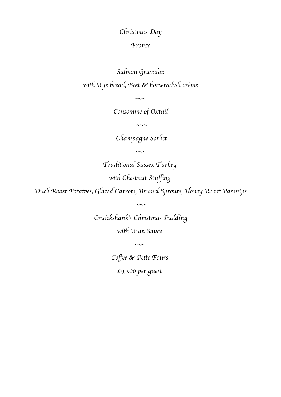Christmas Day

## Bronze

Salmon Gravalax with Rye bread, Beet & horseradish crème

Consomme of Oxtail

 $\sim\sim\sim$ 

 $\sim\sim\sim$ 

Champagne Sorbet

 $\sim\sim\sim$ 

Traditonal Sussex Turkey

with Chestnut Stuffing

Duck Roast Potates, Glazed Carrots, Brussel Sprouts, Honey Roast Parsnips

Cruickshank's Christmas Pudding

 $\sim\sim\sim$ 

with Rum Sauce

 $\sim\sim\sim$ 

Coffee & Pette Fours

£99.00 per guest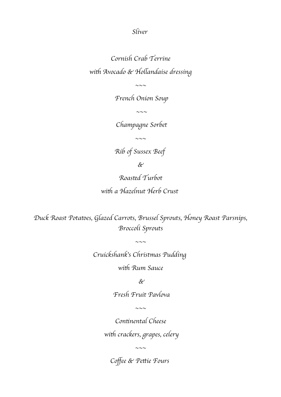Sliver

Cornish Crab Terrine with Avocado & Hollandaise dressing

 $\sim\sim\sim$ 

French Onion Soup

 $\sim\sim\sim$ 

Champagne Sorbet

 $\sim\sim\sim$ 

Rib of Sussex Beef

 $\&$ 

Roasted Turbot with a Hazelnut Herb Crust

Duck Roast Potates, Glazed Carrots, Brussel Sprouts, Honey Roast Parsnips, Broccoli Sprouts

 $\sim$ ~~

Cruickshank's Christmas Pudding

with Rum Sauce

 $\&$ 

Fresh Fruit Pavlova

 $\sim\sim\sim$ 

Continental Cheese with crackers, grapes, celery

 $\sim\sim\sim$ 

Coffee & Pettie Fours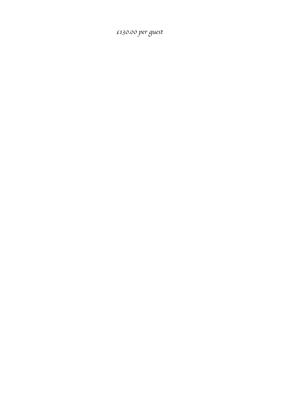£130.00 per guest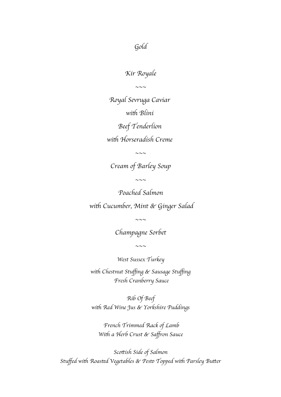Gold

Kir Royale

 $\sim$ 

Royal Sevruga Caviar with Blini Beef Tenderlion with Horseradish Creme

 $\sim\sim\sim$ 

Cream of Barley Soup

 $\sim\sim\sim$ 

Poached Salmon with Cucumber, Mint & Ginger Salad

Champagne Sorbet

 $\sim\sim\sim$ 

 $\sim\sim\sim$ 

West Sussex Turkey

with Chestnut Stuffing & Sausage Stuffing Fresh Cranberry Sauce

Rib Of Beef with Red Wine Jus & Yorkshire Puddings

 French Trimmed Rack of Lamb With a Herb Crust & Saffron Sauce

Scottish Side of Salmon Stuffed with Roasted Vegetables & Pesto Topped with Parsley Butter